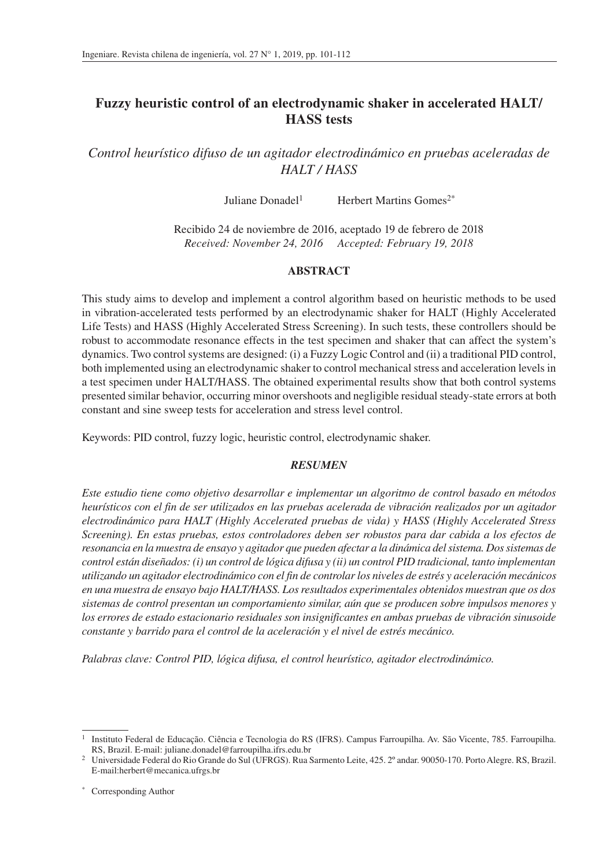# **Fuzzy heuristic control of an electrodynamic shaker in accelerated HALT/ HASS tests**

*Control heurístico difuso de un agitador electrodinámico en pruebas aceleradas de HALT / HASS*

Juliane Donadel1 Herbert Martins Gomes2\*

Recibido 24 de noviembre de 2016, aceptado 19 de febrero de 2018 *Received: November 24, 2016 Accepted: February 19, 2018*

# **ABSTRACT**

This study aims to develop and implement a control algorithm based on heuristic methods to be used in vibration-accelerated tests performed by an electrodynamic shaker for HALT (Highly Accelerated Life Tests) and HASS (Highly Accelerated Stress Screening). In such tests, these controllers should be robust to accommodate resonance effects in the test specimen and shaker that can affect the system's dynamics. Two control systems are designed: (i) a Fuzzy Logic Control and (ii) a traditional PID control, both implemented using an electrodynamic shaker to control mechanical stress and acceleration levels in a test specimen under HALT/HASS. The obtained experimental results show that both control systems presented similar behavior, occurring minor overshoots and negligible residual steady-state errors at both constant and sine sweep tests for acceleration and stress level control.

Keywords: PID control, fuzzy logic, heuristic control, electrodynamic shaker.

# *RESUMEN*

*Este estudio tiene como objetivo desarrollar e implementar un algoritmo de control basado en métodos heurísticos con el fin de ser utilizados en las pruebas acelerada de vibración realizados por un agitador electrodinámico para HALT (Highly Accelerated pruebas de vida) y HASS (Highly Accelerated Stress Screening). En estas pruebas, estos controladores deben ser robustos para dar cabida a los efectos de resonancia en la muestra de ensayo y agitador que pueden afectar a la dinámica del sistema. Dos sistemas de control están diseñados: (i) un control de lógica difusa y (ii) un control PID tradicional, tanto implementan utilizando un agitador electrodinámico con el fin de controlar los niveles de estrés y aceleración mecánicos en una muestra de ensayo bajo HALT/HASS. Los resultados experimentales obtenidos muestran que os dos sistemas de control presentan un comportamiento similar, aún que se producen sobre impulsos menores y los errores de estado estacionario residuales son insignificantes en ambas pruebas de vibración sinusoide constante y barrido para el control de la aceleración y el nivel de estrés mecánico.*

*Palabras clave: Control PID, lógica difusa, el control heurístico, agitador electrodinámico.*

<sup>1</sup> Instituto Federal de Educação. Ciência e Tecnologia do RS (IFRS). Campus Farroupilha. Av. São Vicente, 785. Farroupilha. RS, Brazil. E-mail: juliane.donadel@farroupilha.ifrs.edu.br

<sup>2</sup> Universidade Federal do Rio Grande do Sul (UFRGS). Rua Sarmento Leite, 425. 2º andar. 90050-170. Porto Alegre. RS, Brazil. E-mail:herbert@mecanica.ufrgs.br

Corresponding Author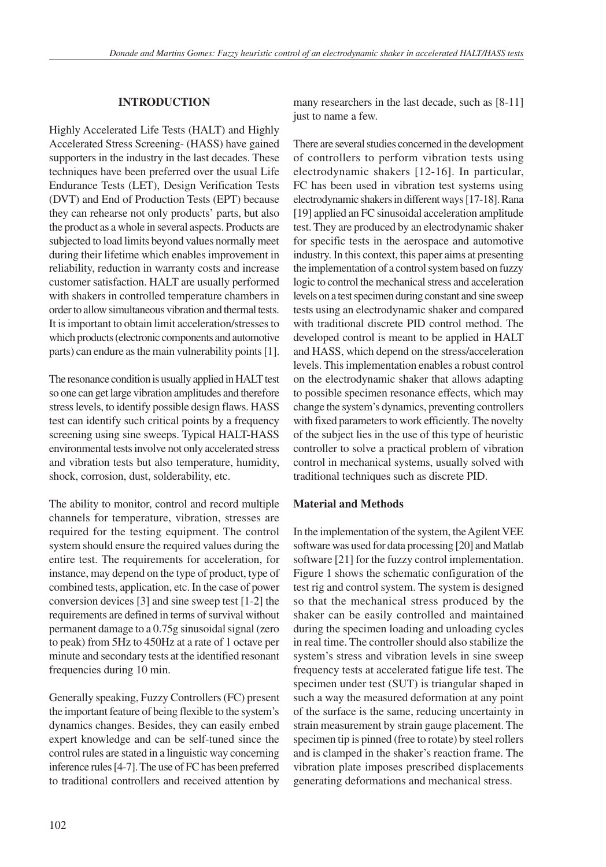### **INTRODUCTION**

Highly Accelerated Life Tests (HALT) and Highly Accelerated Stress Screening- (HASS) have gained supporters in the industry in the last decades. These techniques have been preferred over the usual Life Endurance Tests (LET), Design Verification Tests (DVT) and End of Production Tests (EPT) because they can rehearse not only products' parts, but also the product as a whole in several aspects. Products are subjected to load limits beyond values normally meet during their lifetime which enables improvement in reliability, reduction in warranty costs and increase customer satisfaction. HALT are usually performed with shakers in controlled temperature chambers in order to allow simultaneous vibration and thermal tests. It is important to obtain limit acceleration/stresses to which products (electronic components and automotive parts) can endure as the main vulnerability points [1].

The resonance condition is usually applied in HALT test so one can get large vibration amplitudes and therefore stress levels, to identify possible design flaws. HASS test can identify such critical points by a frequency screening using sine sweeps. Typical HALT-HASS environmental tests involve not only accelerated stress and vibration tests but also temperature, humidity, shock, corrosion, dust, solderability, etc.

The ability to monitor, control and record multiple channels for temperature, vibration, stresses are required for the testing equipment. The control system should ensure the required values during the entire test. The requirements for acceleration, for instance, may depend on the type of product, type of combined tests, application, etc. In the case of power conversion devices [3] and sine sweep test [1-2] the requirements are defined in terms of survival without permanent damage to a 0.75g sinusoidal signal (zero to peak) from 5Hz to 450Hz at a rate of 1 octave per minute and secondary tests at the identified resonant frequencies during 10 min.

Generally speaking, Fuzzy Controllers (FC) present the important feature of being flexible to the system's dynamics changes. Besides, they can easily embed expert knowledge and can be self-tuned since the control rules are stated in a linguistic way concerning inference rules [4-7]. The use of FC has been preferred to traditional controllers and received attention by many researchers in the last decade, such as  $[8-11]$ just to name a few.

There are several studies concerned in the development of controllers to perform vibration tests using electrodynamic shakers [12-16]. In particular, FC has been used in vibration test systems using electrodynamic shakers in different ways [17-18]. Rana [19] applied an FC sinusoidal acceleration amplitude test. They are produced by an electrodynamic shaker for specific tests in the aerospace and automotive industry. In this context, this paper aims at presenting the implementation of a control system based on fuzzy logic to control the mechanical stress and acceleration levels on a test specimen during constant and sine sweep tests using an electrodynamic shaker and compared with traditional discrete PID control method. The developed control is meant to be applied in HALT and HASS, which depend on the stress/acceleration levels. This implementation enables a robust control on the electrodynamic shaker that allows adapting to possible specimen resonance effects, which may change the system's dynamics, preventing controllers with fixed parameters to work efficiently. The novelty of the subject lies in the use of this type of heuristic controller to solve a practical problem of vibration control in mechanical systems, usually solved with traditional techniques such as discrete PID.

### **Material and Methods**

In the implementation of the system, the Agilent VEE software was used for data processing [20] and Matlab software [21] for the fuzzy control implementation. Figure 1 shows the schematic configuration of the test rig and control system. The system is designed so that the mechanical stress produced by the shaker can be easily controlled and maintained during the specimen loading and unloading cycles in real time. The controller should also stabilize the system's stress and vibration levels in sine sweep frequency tests at accelerated fatigue life test. The specimen under test (SUT) is triangular shaped in such a way the measured deformation at any point of the surface is the same, reducing uncertainty in strain measurement by strain gauge placement. The specimen tip is pinned (free to rotate) by steel rollers and is clamped in the shaker's reaction frame. The vibration plate imposes prescribed displacements generating deformations and mechanical stress.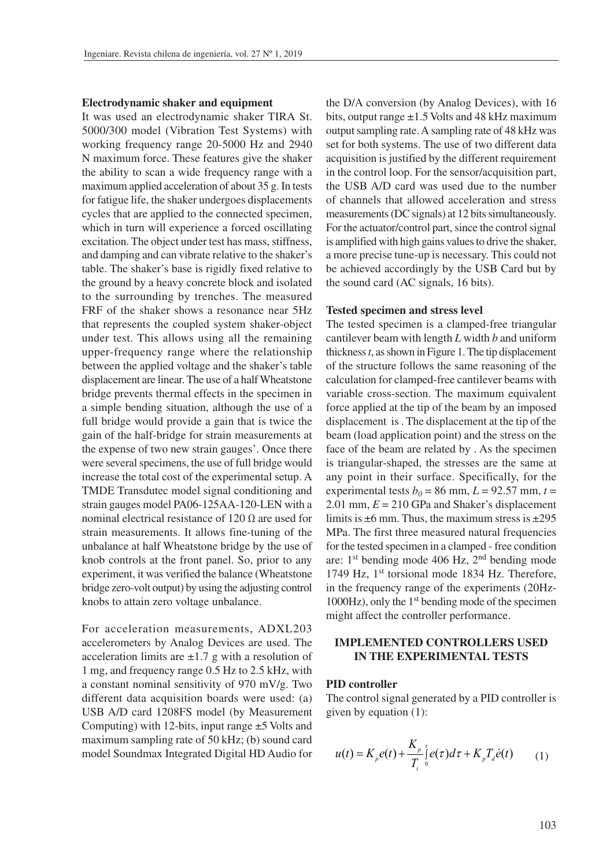#### **Electrodynamic shaker and equipment**

It was used an electrodynamic shaker TIRA St. 5000/300 model (Vibration Test Systems) with working frequency range 20-5000 Hz and 2940 N maximum force. These features give the shaker the ability to scan a wide frequency range with a maximum applied acceleration of about 35 g. In tests for fatigue life, the shaker undergoes displacements cycles that are applied to the connected specimen, which in turn will experience a forced oscillating excitation. The object under test has mass, stiffness, and damping and can vibrate relative to the shaker's table. The shaker's base is rigidly fixed relative to the ground by a heavy concrete block and isolated to the surrounding by trenches. The measured FRF of the shaker shows a resonance near 5Hz that represents the coupled system shaker-object under test. This allows using all the remaining upper-frequency range where the relationship between the applied voltage and the shaker's table displacement are linear. The use of a half Wheatstone bridge prevents thermal effects in the specimen in a simple bending situation, although the use of a full bridge would provide a gain that is twice the gain of the half-bridge for strain measurements at the expense of two new strain gauges'. Once there were several specimens, the use of full bridge would increase the total cost of the experimental setup. A TMDE Transdutec model signal conditioning and strain gauges model PA06-125AA-120-LEN with a nominal electrical resistance of 120 Ω are used for strain measurements. It allows fine-tuning of the unbalance at half Wheatstone bridge by the use of knob controls at the front panel. So, prior to any experiment, it was verified the balance (Wheatstone bridge zero-volt output) by using the adjusting control knobs to attain zero voltage unbalance.

For acceleration measurements, ADXL203 accelerometers by Analog Devices are used. The acceleration limits are  $\pm 1.7$  g with a resolution of 1 mg, and frequency range 0.5 Hz to 2.5 kHz, with a constant nominal sensitivity of 970 mV/g. Two different data acquisition boards were used: (a) USB A/D card 1208FS model (by Measurement Computing) with 12-bits, input range  $\pm$  5 Volts and maximum sampling rate of 50 kHz; (b) sound card model Soundmax Integrated Digital HD Audio for

the D/A conversion (by Analog Devices), with 16 bits, output range ±1.5 Volts and 48 kHz maximum output sampling rate. A sampling rate of 48 kHz was set for both systems. The use of two different data acquisition is justified by the different requirement in the control loop. For the sensor/acquisition part, the USB A/D card was used due to the number of channels that allowed acceleration and stress measurements (DC signals) at 12 bits simultaneously. For the actuator/control part, since the control signal is amplified with high gains values to drive the shaker, a more precise tune-up is necessary. This could not be achieved accordingly by the USB Card but by the sound card (AC signals, 16 bits).

#### **Tested specimen and stress level**

The tested specimen is a clamped-free triangular cantilever beam with length *L* width *b* and uniform thickness *t*, as shown in Figure 1. The tip displacement of the structure follows the same reasoning of the calculation for clamped-free cantilever beams with variable cross-section. The maximum equivalent force applied at the tip of the beam by an imposed displacement is . The displacement at the tip of the beam (load application point) and the stress on the face of the beam are related by . As the specimen is triangular-shaped, the stresses are the same at any point in their surface. Specifically, for the experimental tests  $b_0 = 86$  mm,  $L = 92.57$  mm,  $t =$ 2.01 mm, *E* = 210 GPa and Shaker's displacement limits is  $\pm 6$  mm. Thus, the maximum stress is  $\pm 295$ MPa. The first three measured natural frequencies for the tested specimen in a clamped - free condition are: 1st bending mode 406 Hz, 2nd bending mode 1749 Hz, 1st torsional mode 1834 Hz. Therefore, in the frequency range of the experiments (20Hz- $1000\text{Hz}$ ), only the  $1^\text{st}$  bending mode of the specimen might affect the controller performance.

# **IMPLEMENTED CONTROLLERS USED IN THE EXPERIMENTAL TESTS**

#### **PID controller**

The control signal generated by a PID controller is given by equation (1):

$$
u(t) = K_p e(t) + \frac{K_p}{T_i} \int_{0}^{t} e(\tau) d\tau + K_p T_d \dot{e}(t) \tag{1}
$$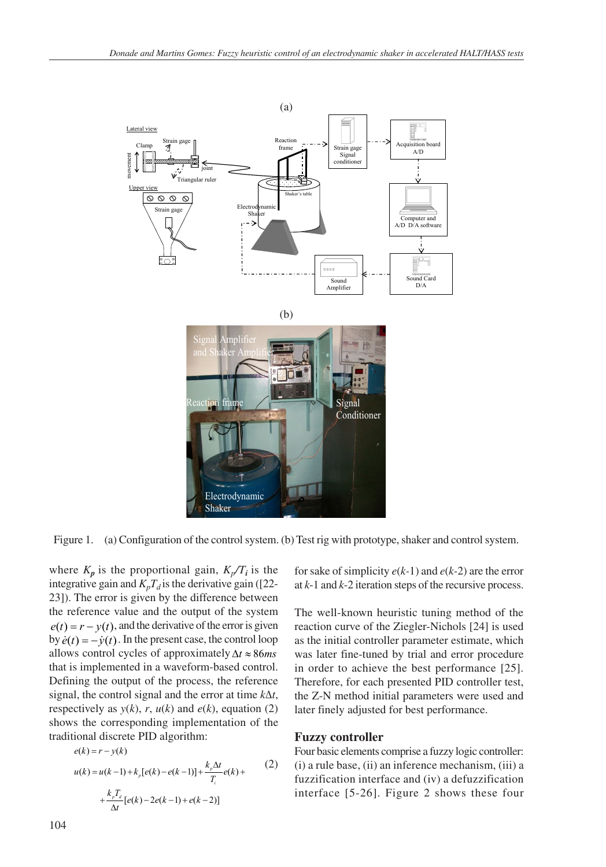

Figure 1. (a) Configuration of the control system. (b) Test rig with prototype, shaker and control system.

where  $K_p$  is the proportional gain,  $K_p/T_i$  is the integrative gain and  $K_pT_d$  is the derivative gain ([22-23]). The error is given by the difference between the reference value and the output of the system  $e(t) = r - y(t)$ , and the derivative of the error is given by  $\dot{e}(t) = -\dot{v}(t)$ . In the present case, the control loop allows control cycles of approximately  $\Delta t \approx 86$ ms that is implemented in a waveform-based control. Defining the output of the process, the reference signal, the control signal and the error at time *k*Δ*t*, respectively as  $y(k)$ , *r*,  $u(k)$  and  $e(k)$ , equation (2) shows the corresponding implementation of the traditional discrete PID algorithm: *ek r yk*

$$
e(k) = r - y(k)
$$
  
\n
$$
u(k) = u(k-1) + k_p[e(k) - e(k-1)] + \frac{k_p \Delta t}{T_i}e(k) +
$$
  
\n
$$
+ \frac{k_p T_a}{\Delta t}[e(k) - 2e(k-1) + e(k-2)]
$$
\n(2)

for sake of simplicity *e*(*k-*1) and *e*(*k-*2) are the error at *k*-1 and *k*-2 iteration steps of the recursive process.

The well-known heuristic tuning method of the reaction curve of the Ziegler-Nichols [24] is used as the initial controller parameter estimate, which was later fine-tuned by trial and error procedure in order to achieve the best performance [25]. Therefore, for each presented PID controller test, the Z-N method initial parameters were used and later finely adjusted for best performance.

### **Fuzzy controller**

Four basic elements comprise a fuzzy logic controller: (i) a rule base, (ii) an inference mechanism, (iii) a fuzzification interface and (iv) a defuzzification interface [5-26]. Figure 2 shows these four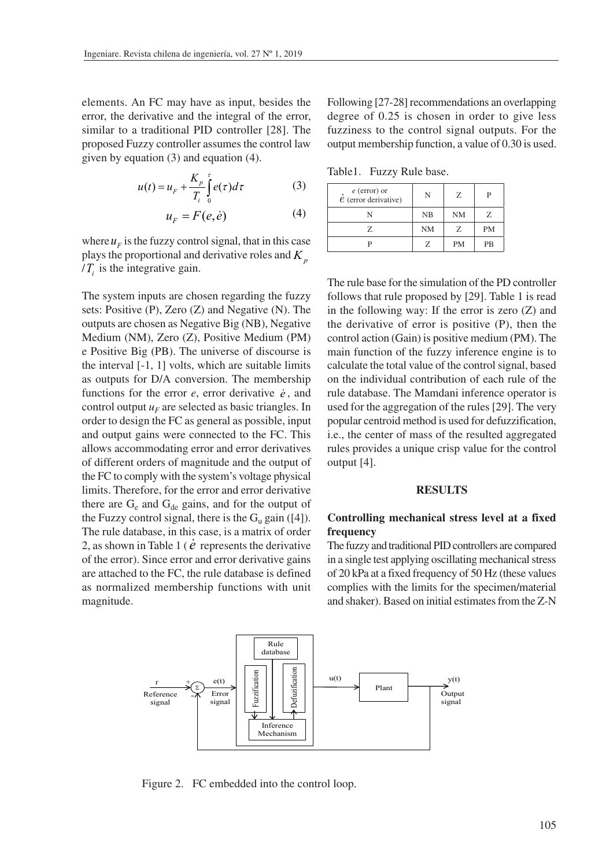elements. An FC may have as input, besides the error, the derivative and the integral of the error, similar to a traditional PID controller [28]. The proposed Fuzzy controller assumes the control law given by equation (3) and equation (4).

$$
u(t) = u_F + \frac{K_p}{T_i} \int_{0}^{\tau} e(\tau) d\tau
$$
 (3)

$$
u_F = F(e, \dot{e}) \tag{4}
$$

where  $u_F$  is the fuzzy control signal, that in this case plays the proportional and derivative roles and  $K<sub>n</sub>$  $/T<sub>i</sub>$  is the integrative gain.

The system inputs are chosen regarding the fuzzy sets: Positive (P), Zero (Z) and Negative (N). The outputs are chosen as Negative Big (NB), Negative Medium (NM), Zero (Z), Positive Medium (PM) e Positive Big (PB). The universe of discourse is the interval [-1, 1] volts, which are suitable limits as outputs for D/A conversion. The membership functions for the error  $e$ , error derivative  $\dot{e}$ , and control output  $u_F$  are selected as basic triangles. In order to design the FC as general as possible, input and output gains were connected to the FC. This allows accommodating error and error derivatives of different orders of magnitude and the output of the FC to comply with the system's voltage physical limits. Therefore, for the error and error derivative there are  $G_e$  and  $G_{de}$  gains, and for the output of the Fuzzy control signal, there is the  $G_u$  gain ([4]). The rule database, in this case, is a matrix of order 2, as shown in Table 1 ( *e* represents the derivative of the error). Since error and error derivative gains are attached to the FC, the rule database is defined as normalized membership functions with unit magnitude.

Following [27-28] recommendations an overlapping degree of 0.25 is chosen in order to give less fuzziness to the control signal outputs. For the output membership function, a value of 0.30 is used.

Table1. Fuzzy Rule base.

| $\vec{e}$ (error) or<br>$\dot{e}$ (error derivative) | N         | Z         |           |
|------------------------------------------------------|-----------|-----------|-----------|
|                                                      | NB        | <b>NM</b> | Z.        |
| 7.                                                   | <b>NM</b> | Z         | <b>PM</b> |
|                                                      |           | <b>PM</b> | PR        |

The rule base for the simulation of the PD controller follows that rule proposed by [29]. Table 1 is read in the following way: If the error is zero  $(Z)$  and the derivative of error is positive (P), then the control action (Gain) is positive medium (PM). The main function of the fuzzy inference engine is to calculate the total value of the control signal, based on the individual contribution of each rule of the rule database. The Mamdani inference operator is used for the aggregation of the rules [29]. The very popular centroid method is used for defuzzification, i.e., the center of mass of the resulted aggregated rules provides a unique crisp value for the control output [4].

### **RESULTS**

# **Controlling mechanical stress level at a fixed frequency**

The fuzzy and traditional PID controllers are compared in a single test applying oscillating mechanical stress of 20 kPa at a fixed frequency of 50 Hz (these values complies with the limits for the specimen/material and shaker). Based on initial estimates from the Z-N



Figure 2. FC embedded into the control loop.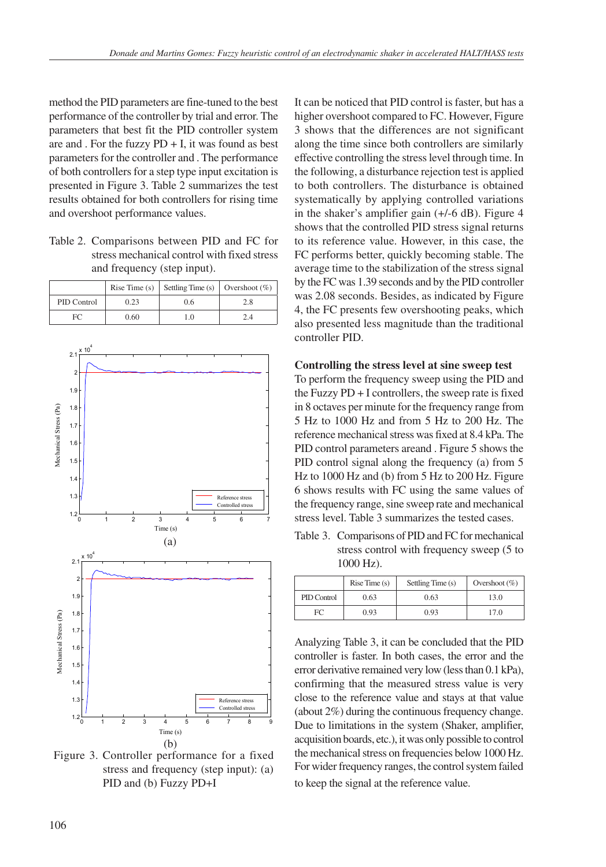method the PID parameters are fine-tuned to the best performance of the controller by trial and error. The parameters that best fit the PID controller system are and . For the fuzzy  $PD + I$ , it was found as best parameters for the controller and . The performance of both controllers for a step type input excitation is presented in Figure 3. Table 2 summarizes the test results obtained for both controllers for rising time and overshoot performance values.

Table 2. Comparisons between PID and FC for stress mechanical control with fixed stress and frequency (step input).

|             |      | Rise Time (s) Settling Time (s) Overshoot (%) |     |
|-------------|------|-----------------------------------------------|-----|
| PID Control | 0.23 | 0.6                                           | 2.8 |
| FC          | 0.60 | 10                                            | 9 A |



Figure 3. Controller performance for a fixed stress and frequency (step input): (a) PID and (b) Fuzzy PD+I

It can be noticed that PID control is faster, but has a higher overshoot compared to FC. However, Figure 3 shows that the differences are not significant along the time since both controllers are similarly effective controlling the stress level through time. In the following, a disturbance rejection test is applied to both controllers. The disturbance is obtained systematically by applying controlled variations in the shaker's amplifier gain (+/-6 dB). Figure 4 shows that the controlled PID stress signal returns to its reference value. However, in this case, the FC performs better, quickly becoming stable. The average time to the stabilization of the stress signal by the FC was 1.39 seconds and by the PID controller was 2.08 seconds. Besides, as indicated by Figure 4, the FC presents few overshooting peaks, which also presented less magnitude than the traditional controller PID.

# **Controlling the stress level at sine sweep test**

To perform the frequency sweep using the PID and the Fuzzy PD + I controllers, the sweep rate is fixed in 8 octaves per minute for the frequency range from 5 Hz to 1000 Hz and from 5 Hz to 200 Hz. The reference mechanical stress was fixed at 8.4 kPa. The PID control parameters areand . Figure 5 shows the PID control signal along the frequency (a) from 5 Hz to 1000 Hz and (b) from 5 Hz to 200 Hz. Figure 6 shows results with FC using the same values of the frequency range, sine sweep rate and mechanical stress level. Table 3 summarizes the tested cases.

Table 3. Comparisons of PID and FC for mechanical stress control with frequency sweep (5 to 1000 Hz).

|             | Rise Time(s) | Settling Time (s) | Overshoot $(\% )$ |
|-------------|--------------|-------------------|-------------------|
| PID Control | 0.63         | 0.63              | 13.0              |
| FC          | 0.93         | 0.93              | 17.0              |

Analyzing Table 3, it can be concluded that the PID controller is faster. In both cases, the error and the error derivative remained very low (less than 0.1 kPa), confirming that the measured stress value is very close to the reference value and stays at that value (about 2%) during the continuous frequency change. Due to limitations in the system (Shaker, amplifier, acquisition boards, etc.), it was only possible to control the mechanical stress on frequencies below 1000 Hz. For wider frequency ranges, the control system failed to keep the signal at the reference value.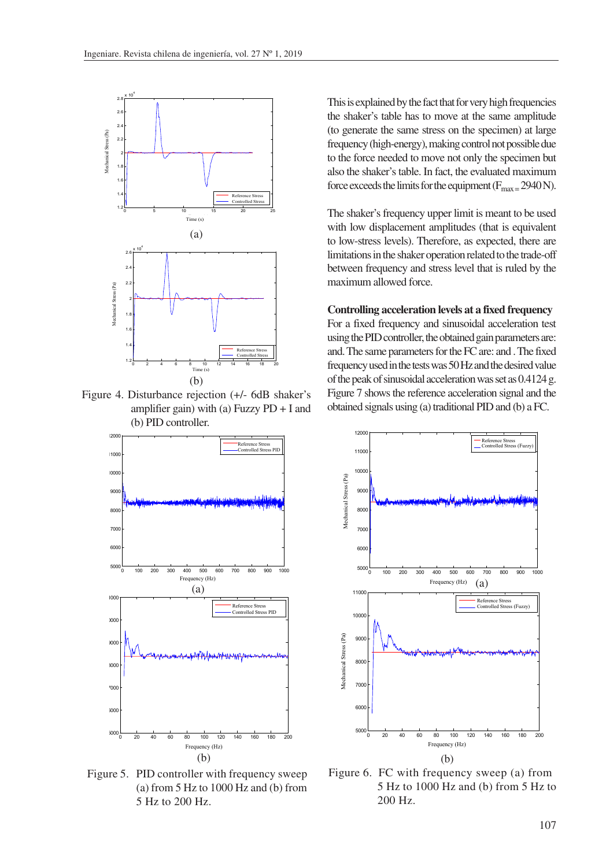

Figure 4. Disturbance rejection (+/- 6dB shaker's amplifier gain) with (a) Fuzzy  $PD + I$  and (b) PID controller.



Figure 5. PID controller with frequency sweep (a) from 5 Hz to 1000 Hz and (b) from 5 Hz to 200 Hz.

This is explained by the fact that for very high frequencies the shaker's table has to move at the same amplitude (to generate the same stress on the specimen) at large frequency (high-energy), making control not possible due to the force needed to move not only the specimen but also the shaker's table. In fact, the evaluated maximum force exceeds the limits for the equipment ( $F_{\text{max}} = 2940 \text{ N}$ ).

The shaker's frequency upper limit is meant to be used with low displacement amplitudes (that is equivalent to low-stress levels). Therefore, as expected, there are limitations in the shaker operation related to the trade-off between frequency and stress level that is ruled by the maximum allowed force.

### **Controlling acceleration levels at a fixed frequency**

For a fixed frequency and sinusoidal acceleration test using the PID controller, the obtained gain parameters are: and. The same parameters for the FC are: and . The fixed frequency used in the tests was 50 Hz and the desired value of the peak of sinusoidal acceleration was set as 0.4124 g. Figure 7 shows the reference acceleration signal and the obtained signals using (a) traditional PID and (b) a FC.



FIE  $\frac{1}{2}$  for  $\frac{1000 \text{ H}}{1000 \text{ H}} = \frac{1}{2}$ Hz and (b) from 5 Hz to 200 Hz. 5 Hz to 1000 Hz and (b) from 5 Hz to Figure 6. FC with frequency sweep (a) from 200 Hz.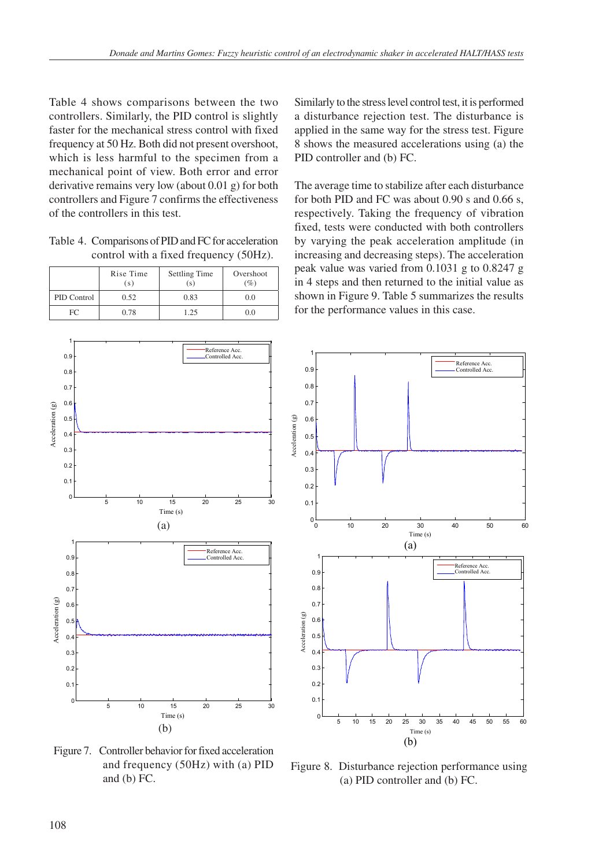Table 4 shows comparisons between the two controllers. Similarly, the PID control is slightly faster for the mechanical stress control with fixed frequency at 50 Hz. Both did not present overshoot, which is less harmful to the specimen from a mechanical point of view. Both error and error derivative remains very low (about 0.01 g) for both controllers and Figure 7 confirms the effectiveness of the controllers in this test.

Table 4. Comparisons of PID and FC for acceleration control with a fixed frequency (50Hz).

|             | Rise Time<br>(s) | Settling Time<br>(s) | Overshoot<br>$(\%)$ |
|-------------|------------------|----------------------|---------------------|
| PID Control | 0.52             | 0.83                 | 0.0                 |
| FC.         | 0.78             | 1.25                 | 0.0                 |

Similarly to the stress level control test, it is performed a disturbance rejection test. The disturbance is applied in the same way for the stress test. Figure 8 shows the measured accelerations using (a) the PID controller and (b) FC.

The average time to stabilize after each disturbance for both PID and FC was about 0.90 s and 0.66 s, respectively. Taking the frequency of vibration fixed, tests were conducted with both controllers by varying the peak acceleration amplitude (in increasing and decreasing steps). The acceleration peak value was varied from 0.1031 g to 0.8247 g in 4 steps and then returned to the initial value as shown in Figure 9. Table 5 summarizes the results for the performance values in this case.





Figure 7. Controller behavior for fixed acceleration and frequency (50Hz) with (a) PID and (b) FC.

Figure 8. Disturbance rejection performance using (a) PID controller and (b) FC.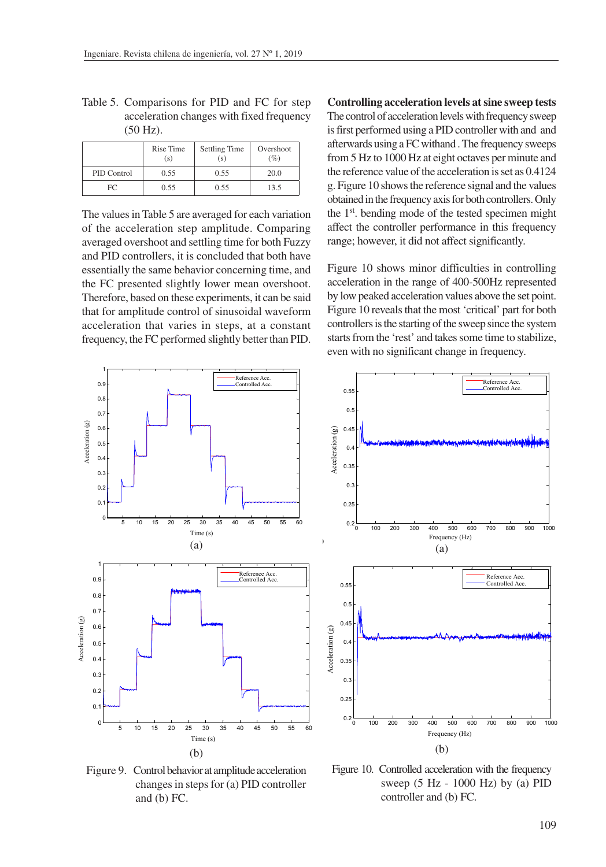|             | Rise Time<br>(s) | <b>Settling Time</b><br>(s) | Overshoot<br>$(\%)$ |
|-------------|------------------|-----------------------------|---------------------|
| PID Control | 0.55             | 0.55                        | 20.0                |
| FΩ          | 0.55             | 0.55                        | 13.5                |

Table 5. Comparisons for PID and FC for step acceleration changes with fixed frequency (50 Hz).

The values in Table 5 are averaged for each variation of the acceleration step amplitude. Comparing averaged overshoot and settling time for both Fuzzy and PID controllers, it is concluded that both have essentially the same behavior concerning time, and the FC presented slightly lower mean overshoot. Therefore, based on these experiments, it can be said that for amplitude control of sinusoidal waveform acceleration that varies in steps, at a constant frequency, the FC performed slightly better than PID. **Controlling acceleration levels at sine sweep tests** The control of acceleration levels with frequency sweep is first performed using a PID controller with and and afterwards using a FC withand . The frequency sweeps from 5 Hz to 1000 Hz at eight octaves per minute and the reference value of the acceleration is set as 0.4124 g. Figure 10 shows the reference signal and the values obtained in the frequency axis for both controllers. Only the 1st. bending mode of the tested specimen might affect the controller performance in this frequency range; however, it did not affect significantly.

Figure 10 shows minor difficulties in controlling acceleration in the range of 400-500Hz represented by low peaked acceleration values above the set point. Figure 10 reveals that the most 'critical' part for both controllers is the starting of the sweep since the system starts from the 'rest' and takes some time to stabilize, even with no significant change in frequency.

> Reference Acc. Controlled Acc.

Aceleração Desejada

Reference Acc.



**sceleration** (g) Acceleration (g)  $C$  definition ( A<sub>ccel</sub>eration Accelerat  $0.35$  $0.3$  $0.25$  $0.2$ 0.2 100 200 300 400 500 600 700 800 900 1000 Frequency (Hz)  $Frequencies (Hz)$ (a)  $(a)$ Reference Acc. Reference Acc. 0.55 0.55 Controlled Acc.  $\blacksquare$ 0.5 0.45  $\mathfrak{g}$  momor  $\frac{1}{2}$ 0.4 0.45 Acceleration (g) Acceleration (g)  $\alpha$  and  $\beta$  $\overline{0}$ 0.35 0.35  $\overline{\phantom{0}}$ 0.3 0.25 0.25 <sup>0</sup> <sup>100</sup> <sup>200</sup> <sup>300</sup> <sup>400</sup> <sup>500</sup> <sup>600</sup> <sup>700</sup> <sup>800</sup> <sup>900</sup> <sup>1000</sup> 0.2  $\frac{1}{100}$  =  $\frac{1}{500}$  =  $\frac{1}{500}$ <sup>0</sup> <sup>100</sup> <sup>200</sup> <sup>300</sup> <sup>400</sup> <sup>500</sup> <sup>600</sup> <sup>700</sup> <sup>800</sup> <sup>900</sup> <sup>1000</sup> 0.2 Frequency (Hz) (b)

 $0.4$  $0.45$  $0.5$  $0.55$ 

Figure 9. Control behavior at amplitude acceleration changes in steps for (a) PID controller and (b) FC.

Figure 10. Controlled acceleration with the frequency sweep (5 Hz - 1000 Hz) by (a) PID controller and (b) FC.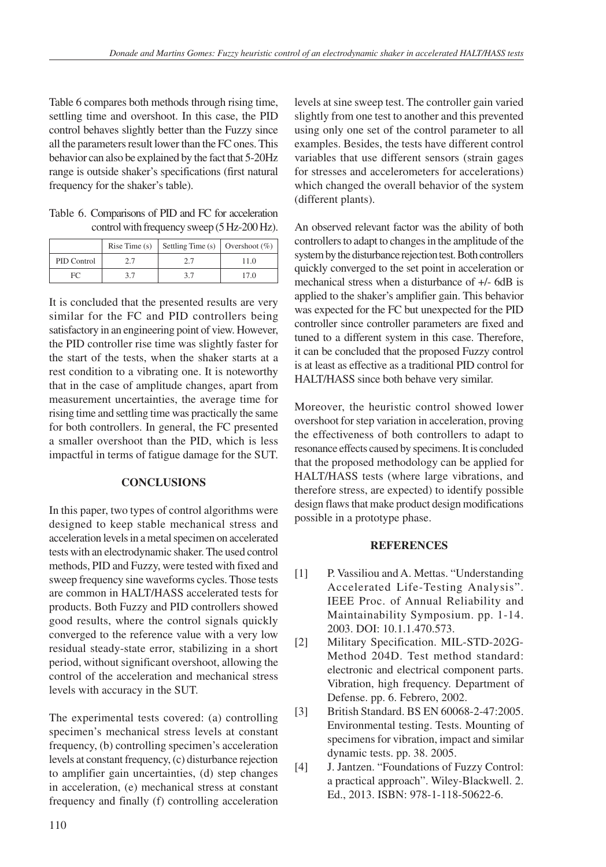Table 6 compares both methods through rising time, settling time and overshoot. In this case, the PID control behaves slightly better than the Fuzzy since all the parameters result lower than the FC ones. This behavior can also be explained by the fact that 5-20Hz range is outside shaker's specifications (first natural frequency for the shaker's table).

Table 6. Comparisons of PID and FC for acceleration control with frequency sweep (5 Hz-200 Hz).

|             | Rise Time $(s)$ | Settling Time (s)   Overshoot (%) |      |
|-------------|-----------------|-----------------------------------|------|
| PID Control |                 |                                   | 11.0 |
| FC          |                 |                                   | 17 O |

It is concluded that the presented results are very similar for the FC and PID controllers being satisfactory in an engineering point of view. However, the PID controller rise time was slightly faster for the start of the tests, when the shaker starts at a rest condition to a vibrating one. It is noteworthy that in the case of amplitude changes, apart from measurement uncertainties, the average time for rising time and settling time was practically the same for both controllers. In general, the FC presented a smaller overshoot than the PID, which is less impactful in terms of fatigue damage for the SUT.

# **CONCLUSIONS**

In this paper, two types of control algorithms were designed to keep stable mechanical stress and acceleration levels in a metal specimen on accelerated tests with an electrodynamic shaker. The used control methods, PID and Fuzzy, were tested with fixed and sweep frequency sine waveforms cycles. Those tests are common in HALT/HASS accelerated tests for products. Both Fuzzy and PID controllers showed good results, where the control signals quickly converged to the reference value with a very low residual steady-state error, stabilizing in a short period, without significant overshoot, allowing the control of the acceleration and mechanical stress levels with accuracy in the SUT.

The experimental tests covered: (a) controlling specimen's mechanical stress levels at constant frequency, (b) controlling specimen's acceleration levels at constant frequency, (c) disturbance rejection to amplifier gain uncertainties, (d) step changes in acceleration, (e) mechanical stress at constant frequency and finally (f) controlling acceleration

levels at sine sweep test. The controller gain varied slightly from one test to another and this prevented using only one set of the control parameter to all examples. Besides, the tests have different control variables that use different sensors (strain gages for stresses and accelerometers for accelerations) which changed the overall behavior of the system (different plants).

An observed relevant factor was the ability of both controllers to adapt to changes in the amplitude of the system by the disturbance rejection test. Both controllers quickly converged to the set point in acceleration or mechanical stress when a disturbance of +/- 6dB is applied to the shaker's amplifier gain. This behavior was expected for the FC but unexpected for the PID controller since controller parameters are fixed and tuned to a different system in this case. Therefore, it can be concluded that the proposed Fuzzy control is at least as effective as a traditional PID control for HALT/HASS since both behave very similar.

Moreover, the heuristic control showed lower overshoot for step variation in acceleration, proving the effectiveness of both controllers to adapt to resonance effects caused by specimens. It is concluded that the proposed methodology can be applied for HALT/HASS tests (where large vibrations, and therefore stress, are expected) to identify possible design flaws that make product design modifications possible in a prototype phase.

# **REFERENCES**

- [1] P. Vassiliou and A. Mettas. "Understanding Accelerated Life-Testing Analysis". IEEE Proc. of Annual Reliability and Maintainability Symposium. pp. 1-14. 2003. DOI: 10.1.1.470.573.
- [2] Military Specification. MIL-STD-202G-Method 204D. Test method standard: electronic and electrical component parts. Vibration, high frequency. Department of Defense. pp. 6. Febrero, 2002.
- [3] British Standard. BS EN 60068-2-47:2005. Environmental testing. Tests. Mounting of specimens for vibration, impact and similar dynamic tests. pp. 38. 2005.
- [4] J. Jantzen. "Foundations of Fuzzy Control: a practical approach". Wiley-Blackwell. 2. Ed., 2013. ISBN: 978-1-118-50622-6.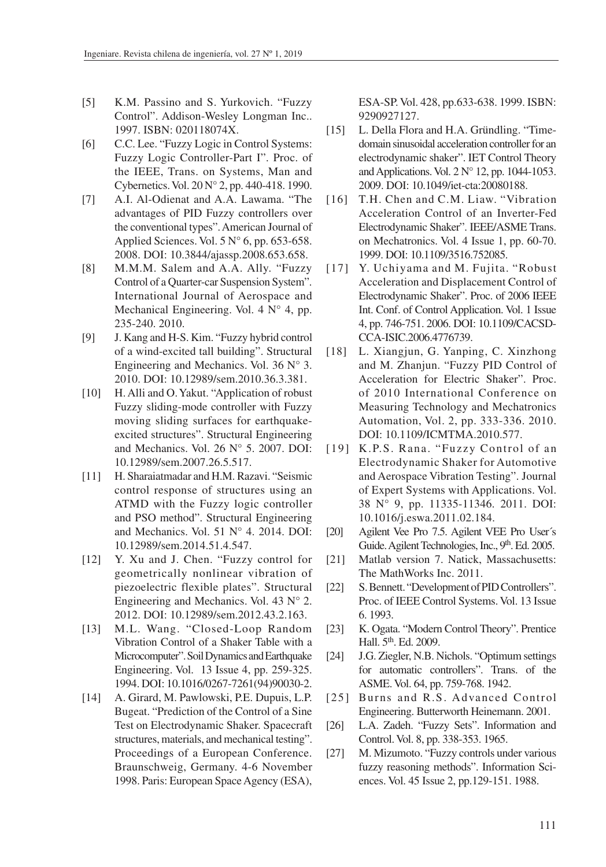- [5] K.M. Passino and S. Yurkovich. "Fuzzy Control". Addison-Wesley Longman Inc.. 1997. ISBN: 020118074X.
- [6] C.C. Lee. "Fuzzy Logic in Control Systems: Fuzzy Logic Controller-Part I". Proc. of the IEEE, Trans. on Systems, Man and Cybernetics. Vol. 20 N° 2, pp. 440-418. 1990.
- [7] A.I. Al-Odienat and A.A. Lawama. "The advantages of PID Fuzzy controllers over the conventional types". American Journal of Applied Sciences. Vol.  $5 N^{\circ}$  6, pp. 653-658. 2008. DOI: 10.3844/ajassp.2008.653.658.
- [8] M.M.M. Salem and A.A. Ally. "Fuzzy Control of a Quarter-car Suspension System". International Journal of Aerospace and Mechanical Engineering. Vol. 4 N° 4, pp. 235-240. 2010.
- [9] J. Kang and H-S. Kim. "Fuzzy hybrid control of a wind-excited tall building". Structural Engineering and Mechanics. Vol. 36  $N^{\circ}$  3. 2010. DOI: 10.12989/sem.2010.36.3.381.
- [10] H. Alli and O. Yakut. "Application of robust Fuzzy sliding-mode controller with Fuzzy moving sliding surfaces for earthquakeexcited structures". Structural Engineering and Mechanics. Vol. 26 N° 5. 2007. DOI: 10.12989/sem.2007.26.5.517.
- [11] H. Sharaiatmadar and H.M. Razavi. "Seismic control response of structures using an ATMD with the Fuzzy logic controller and PSO method". Structural Engineering and Mechanics. Vol. 51 N° 4. 2014. DOI: 10.12989/sem.2014.51.4.547.
- [12] Y. Xu and J. Chen. "Fuzzy control for geometrically nonlinear vibration of piezoelectric flexible plates". Structural Engineering and Mechanics. Vol. 43 N° 2. 2012. DOI: 10.12989/sem.2012.43.2.163.
- [13] M.L. Wang. "Closed-Loop Random Vibration Control of a Shaker Table with a Microcomputer". Soil Dynamics and Earthquake Engineering. Vol. 13 Issue 4, pp. 259-325. 1994. DOI: 10.1016/0267-7261(94)90030-2.
- [14] A. Girard, M. Pawlowski, P.E. Dupuis, L.P. Bugeat. "Prediction of the Control of a Sine Test on Electrodynamic Shaker. Spacecraft structures, materials, and mechanical testing". Proceedings of a European Conference. Braunschweig, Germany. 4-6 November 1998. Paris: European Space Agency (ESA),

ESA-SP. Vol. 428, pp.633-638. 1999. ISBN: 9290927127.

- [15] L. Della Flora and H.A. Gründling. "Timedomain sinusoidal acceleration controller for an electrodynamic shaker". IET Control Theory and Applications. Vol. 2 N° 12, pp. 1044-1053. 2009. DOI: 10.1049/iet-cta:20080188.
- [16] T.H. Chen and C.M. Liaw. "Vibration Acceleration Control of an Inverter-Fed Electrodynamic Shaker". IEEE/ASME Trans. on Mechatronics. Vol. 4 Issue 1, pp. 60-70. 1999. DOI: 10.1109/3516.752085.
- [17] Y. Uchiyama and M. Fujita. "Robust Acceleration and Displacement Control of Electrodynamic Shaker". Proc. of 2006 IEEE Int. Conf. of Control Application. Vol. 1 Issue 4, pp. 746-751. 2006. DOI: 10.1109/CACSD-CCA-ISIC.2006.4776739.
- [18] L. Xiangjun, G. Yanping, C. Xinzhong and M. Zhanjun. "Fuzzy PID Control of Acceleration for Electric Shaker". Proc. of 2010 International Conference on Measuring Technology and Mechatronics Automation, Vol. 2, pp. 333-336. 2010. DOI: 10.1109/ICMTMA.2010.577.
- [19] K.P.S. Rana. "Fuzzy Control of an Electrodynamic Shaker for Automotive and Aerospace Vibration Testing". Journal of Expert Systems with Applications. Vol. 38 N° 9, pp. 11335-11346. 2011. DOI: 10.1016/j.eswa.2011.02.184.
- [20] Agilent Vee Pro 7.5. Agilent VEE Pro User´s Guide. Agilent Technologies, Inc., 9<sup>th</sup>. Ed. 2005.
- [21] Matlab version 7. Natick, Massachusetts: The MathWorks Inc. 2011.
- [22] S. Bennett. "Development of PID Controllers". Proc. of IEEE Control Systems. Vol. 13 Issue 6. 1993.
- [23] K. Ogata. "Modern Control Theory". Prentice Hall. 5<sup>th</sup>. Ed. 2009.
- [24] J.G. Ziegler, N.B. Nichols. "Optimum settings for automatic controllers". Trans. of the ASME. Vol. 64, pp. 759-768. 1942.
- [25] Burns and R.S. Advanced Control Engineering. Butterworth Heinemann. 2001.
- [26] L.A. Zadeh. "Fuzzy Sets". Information and Control. Vol. 8, pp. 338-353. 1965.
- [27] M. Mizumoto. "Fuzzy controls under various fuzzy reasoning methods". Information Sciences. Vol. 45 Issue 2, pp.129-151. 1988.